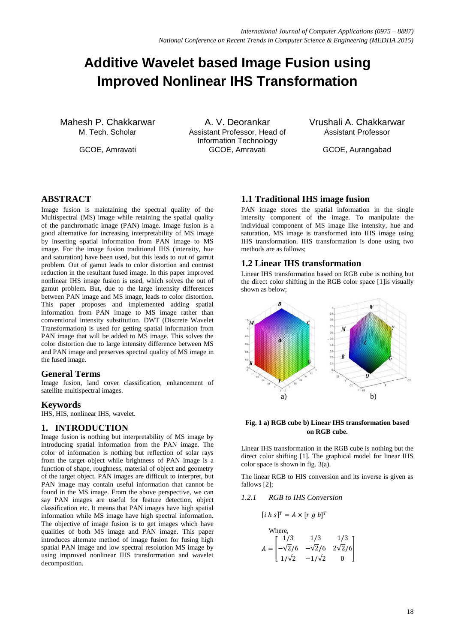# **Additive Wavelet based Image Fusion using Improved Nonlinear IHS Transformation**

Mahesh P. Chakkarwar A. V. Deorankar Vrushali A. Chakkarwar A. V. Deorankar Vrushali A. Chakkarwar Assistant Professor, Head of Information Technology GCOE, Amravati GCOE, Amravati GCOE, Amravati GCOE, Aurangabad

Assistant Professor

## **ABSTRACT**

Image fusion is maintaining the spectral quality of the Multispectral (MS) image while retaining the spatial quality of the panchromatic image (PAN) image. Image fusion is a good alternative for increasing interpretability of MS image by inserting spatial information from PAN image to MS image. For the image fusion traditional IHS (intensity, hue and saturation) have been used, but this leads to out of gamut problem. Out of gamut leads to color distortion and contrast reduction in the resultant fused image. In this paper improved nonlinear IHS image fusion is used, which solves the out of gamut problem. But, due to the large intensity differences between PAN image and MS image, leads to color distortion. This paper proposes and implemented adding spatial information from PAN image to MS image rather than conventional intensity substitution. DWT (Discrete Wavelet Transformation) is used for getting spatial information from PAN image that will be added to MS image. This solves the color distortion due to large intensity difference between MS and PAN image and preserves spectral quality of MS image in the fused image.

#### **General Terms**

Image fusion, land cover classification, enhancement of satellite multispectral images.

#### **Keywords**

IHS, HIS, nonlinear IHS, wavelet.

#### **1. INTRODUCTION**

Image fusion is nothing but interpretability of MS image by introducing spatial information from the PAN image. The color of information is nothing but reflection of solar rays from the target object while brightness of PAN image is a function of shape, roughness, material of object and geometry of the target object. PAN images are difficult to interpret, but PAN image may contain useful information that cannot be found in the MS image. From the above perspective, we can say PAN images are useful for feature detection, object classification etc. It means that PAN images have high spatial information while MS image have high spectral information. The objective of image fusion is to get images which have qualities of both MS image and PAN image. This paper introduces alternate method of image fusion for fusing high spatial PAN image and low spectral resolution MS image by using improved nonlinear IHS transformation and wavelet decomposition.

# **1.1 Traditional IHS image fusion**

PAN image stores the spatial information in the single intensity component of the image. To manipulate the individual component of MS image like intensity, hue and saturation, MS image is transformed into IHS image using IHS transformation. IHS transformation is done using two methods are as fallows;

## **1.2 Linear IHS transformation**

Linear IHS transformation based on RGB cube is nothing but the direct color shifting in the RGB color space [1]is visually shown as below;



#### **Fig. 1 a) RGB cube b) Linear IHS transformation based on RGB cube.**

Linear IHS transformation in the RGB cube is nothing but the direct color shifting [1]. The graphical model for linear IHS color space is shown in fig. 3(a).

The linear RGB to HIS conversion and its inverse is given as fallows [2];

#### *1.2.1 RGB to IHS Conversion*

$$
[i\;h\;s]^T = A \times [r\;g\;b]^T
$$

Where,  
\n
$$
A = \begin{bmatrix} 1/3 & 1/3 & 1/3 \\ -\sqrt{2}/6 & -\sqrt{2}/6 & 2\sqrt{2}/6 \\ 1/\sqrt{2} & -1/\sqrt{2} & 0 \end{bmatrix}
$$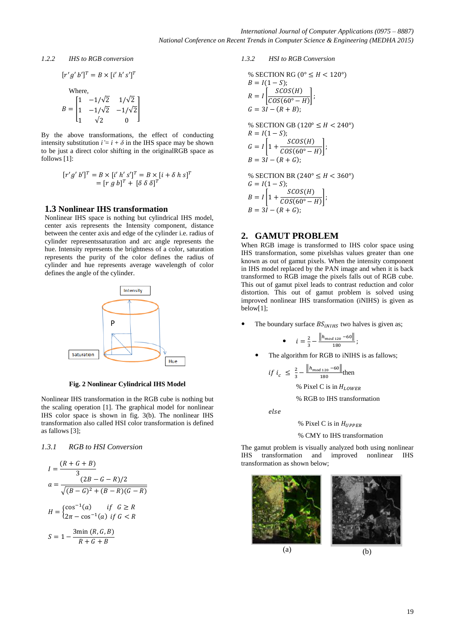#### *1.2.2 IHS to RGB conversion*

 $\mathsf{L}_1$ 

$$
[r'g'b']^{T} = B \times [i'h's']^{T}
$$
  
Where,  

$$
B = \begin{bmatrix} 1 & -1/\sqrt{2} & 1/\sqrt{2} \\ 1 & -1/\sqrt{2} & -1/\sqrt{2} \end{bmatrix}
$$

 $\overline{a}$   $\overline{a}$   $\overline{a}$   $\overline{a}$   $\overline{a}$   $\overline{a}$ 

By the above transformations, the effect of conducting intensity substitution  $i' = i + \delta$  in the IHS space may be shown to be just a direct color shifting in the originalRGB space as follows [1]:

 $\Omega$ 

$$
[r'g' b']T = B \times [i' h' s']T = B \times [i + \delta h s]T
$$
  
= 
$$
[r g b]T + [\delta \delta \delta]T
$$

#### **1.3 Nonlinear IHS transformation**

Nonlinear IHS space is nothing but cylindrical IHS model, center axis represents the Intensity component, distance between the center axis and edge of the cylinder i.e. radius of cylinder representssaturation and arc angle represents the hue. Intensity represents the brightness of a color, saturation represents the purity of the color defines the radius of cylinder and hue represents average wavelength of color defines the angle of the cylinder.



**Fig. 2 Nonlinear Cylindrical IHS Model**

Nonlinear IHS transformation in the RGB cube is nothing but the scaling operation [1]. The graphical model for nonlinear IHS color space is shown in fig. 3(b). The nonlinear IHS transformation also called HSI color transformation is defined as fallows [3];

#### *1.3.1 RGB to HSI Conversion*

$$
I = \frac{(R+G+B)}{3}
$$
  
\n
$$
a = \frac{(2B-G-R)/2}{\sqrt{(B-G)^2 + (B-R)(G-R)}}
$$
  
\n
$$
H = \begin{cases} \cos^{-1}(a) & \text{if } G \ge R\\ 2\pi - \cos^{-1}(a) & \text{if } G < R \end{cases}
$$
  
\n
$$
S = 1 - \frac{3\min(R, G, B)}{R+G+B}
$$

*1.3.2 HSI to RGB Conversion*

% SECTION RG (0° 
$$
\leq H
$$
 < 120°)  
\n $B = I(1 - S)$ ;  
\n $R = I\left[\frac{SCOS(H)}{COS(60° - H)}\right]$ ;  
\n $G = 3I - (R + B)$ ;  
\n% SECTION GB (120°  $\leq H$  < 240°)  
\n $R = I(1 - S)$ ;  
\n $G = I\left[1 + \frac{SCOS(H)}{COS(60° - H)}\right]$ ;  
\n $B = 3I - (R + G)$ ;  
\n% SECTION BR (240°  $\leq H$  < 360°)  
\n $G = I(1 - S)$ ;  
\n $B = I\left[1 + \frac{SCOS(H)}{COS(60° - H)}\right]$ ;  
\n $B = 3I - (R + G)$ ;

#### **2. GAMUT PROBLEM**

When RGB image is transformed to IHS color space using IHS transformation, some pixelshas values greater than one known as out of gamut pixels. When the intensity component in IHS model replaced by the PAN image and when it is back transformed to RGB image the pixels falls out of RGB cube. This out of gamut pixel leads to contrast reduction and color distortion. This out of gamut problem is solved using improved nonlinear IHS transformation (iNIHS) is given as below[1];

The boundary surface  $BS_{iNIHS}$  two halves is given as;

• 
$$
i = \frac{2}{3} - \frac{\left\| h_{mod 120} - 60 \right\|}{180};
$$

The algorithm for RGB to iNIHS is as fallows;

$$
if i_c \leq \frac{2}{3} - \frac{\|h_{mod 120} - 60\|}{180} \text{then}
$$

% Pixel C is in  $H_{LOWER}$ 

% RGB to IHS transformation

else

% Pixel C is in  $H_{UPPE}$ 

% CMY to IHS transformation

The gamut problem is visually analyzed both using nonlinear IHS transformation and improved nonlinear IHS transformation as shown below;

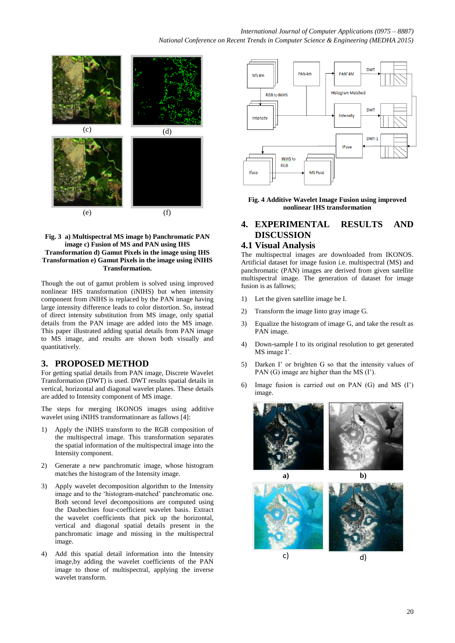

#### **Fig. 3 a) Multispectral MS image b) Panchromatic PAN image c) Fusion of MS and PAN using IHS Transformation d) Gamut Pixels in the image using IHS Transformation e) Gamut Pixels in the image using iNIHS Transformation.**

Though the out of gamut problem is solved using improved nonlinear IHS transformation (iNIHS) but when intensity component from iNIHS is replaced by the PAN image having large intensity difference leads to color distortion. So, instead of direct intensity substitution from MS image, only spatial details from the PAN image are added into the MS image. This paper illustrated adding spatial details from PAN image to MS image, and results are shown both visually and quantitatively.

# **3. PROPOSED METHOD**

For getting spatial details from PAN image, Discrete Wavelet Transformation (DWT) is used. DWT results spatial details in vertical, horizontal and diagonal wavelet planes. These details are added to Intensity component of MS image.

The steps for merging IKONOS images using additive wavelet using iNIHS transformationare as fallows [4]:

- 1) Apply the iNIHS transform to the RGB composition of the multispectral image. This transformation separates the spatial information of the multispectral image into the Intensity component.
- 2) Generate a new panchromatic image, whose histogram matches the histogram of the Intensity image.
- Apply wavelet decomposition algorithm to the Intensity image and to the 'histogram-matched' panchromatic one. Both second level decompositions are computed using the Daubechies four-coefficient wavelet basis. Extract the wavelet coefficients that pick up the horizontal, vertical and diagonal spatial details present in the panchromatic image and missing in the multispectral image.
- 4) Add this spatial detail information into the Intensity image,by adding the wavelet coefficients of the PAN image to those of multispectral, applying the inverse wavelet transform.



**Fig. 4 Additive Wavelet Image Fusion using improved nonlinear IHS transformation**

# **4. EXPERIMENTAL RESULTS AND DISCUSSION**

# **4.1 Visual Analysis**

The multispectral images are downloaded from IKONOS. Artificial dataset for image fusion i.e. multispectral (MS) and panchromatic (PAN) images are derived from given satellite multispectral image. The generation of dataset for image fusion is as fallows;

- 1) Let the given satellite image be I.
- 2) Transform the image Iinto gray image G.
- 3) Equalize the histogram of image G, and take the result as PAN image.
- 4) Down-sample I to its original resolution to get generated MS image I'.
- 5) Darken I' or brighten G so that the intensity values of PAN (G) image are higher than the MS (I').
- 6) Image fusion is carried out on PAN (G) and MS (I') image.